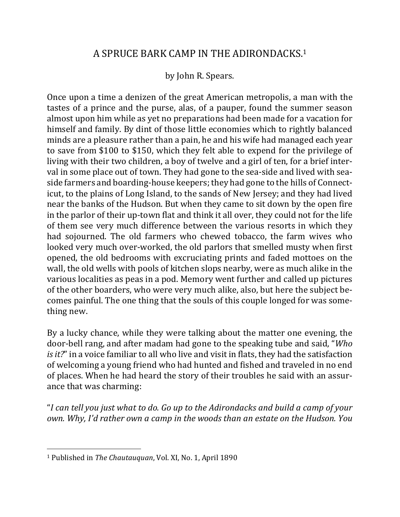## A SPRUCE BARK CAMP IN THE ADIRONDACKS.<sup>1</sup>

## by John R. Spears.

Once upon a time a denizen of the great American metropolis, a man with the tastes of a prince and the purse, alas, of a pauper, found the summer season almost upon him while as yet no preparations had been made for a vacation for himself and family. By dint of those little economies which to rightly balanced minds are a pleasure rather than a pain, he and his wife had managed each year to save from \$100 to \$150, which they felt able to expend for the privilege of living with their two children, a boy of twelve and a girl of ten, for a brief interval in some place out of town. They had gone to the sea-side and lived with seaside farmers and boarding-house keepers; they had gone to the hills of Connecticut, to the plains of Long Island, to the sands of New Jersey; and they had lived near the banks of the Hudson. But when they came to sit down by the open fire in the parlor of their up-town flat and think it all over, they could not for the life of them see very much difference between the various resorts in which they had sojourned. The old farmers who chewed tobacco, the farm wives who looked very much over-worked, the old parlors that smelled musty when first opened, the old bedrooms with excruciating prints and faded mottoes on the wall, the old wells with pools of kitchen slops nearby, were as much alike in the various localities as peas in a pod. Memory went further and called up pictures of the other boarders, who were very much alike, also, but here the subject becomes painful. The one thing that the souls of this couple longed for was something new.

By a lucky chance, while they were talking about the matter one evening, the door-bell rang, and after madam had gone to the speaking tube and said, "*Who is it?*" in a voice familiar to all who live and visit in flats, they had the satisfaction of welcoming a young friend who had hunted and fished and traveled in no end of places. When he had heard the story of their troubles he said with an assurance that was charming:

"*I can tell you just what to do. Go up to the Adirondacks and build a camp of your own.* Why, I'd rather own a camp in the woods than an estate on the Hudson. You

 $\overline{a}$ 

<sup>&</sup>lt;sup>1</sup> Published in *The Chautauquan*, Vol. XI, No. 1, April 1890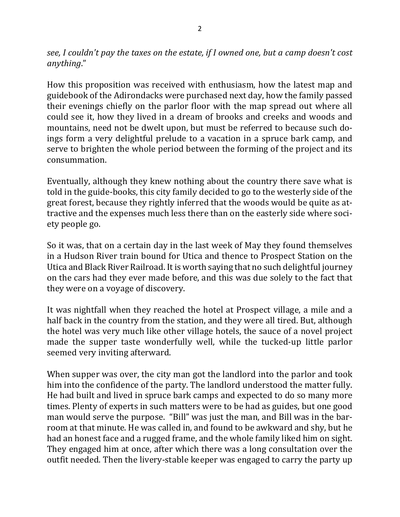*see, I couldn't pay the taxes on the estate, if I owned one, but a camp doesn't cost anything*." 

How this proposition was received with enthusiasm, how the latest map and guidebook of the Adirondacks were purchased next day, how the family passed their evenings chiefly on the parlor floor with the map spread out where all could see it, how they lived in a dream of brooks and creeks and woods and mountains, need not be dwelt upon, but must be referred to because such doings form a very delightful prelude to a vacation in a spruce bark camp, and serve to brighten the whole period between the forming of the project and its consummation.

Eventually, although they knew nothing about the country there save what is told in the guide-books, this city family decided to go to the westerly side of the great forest, because they rightly inferred that the woods would be quite as attractive and the expenses much less there than on the easterly side where society people go.

So it was, that on a certain day in the last week of May they found themselves in a Hudson River train bound for Utica and thence to Prospect Station on the Utica and Black River Railroad. It is worth saying that no such delightful journey on the cars had they ever made before, and this was due solely to the fact that they were on a voyage of discovery.

It was nightfall when they reached the hotel at Prospect village, a mile and a half back in the country from the station, and they were all tired. But, although the hotel was very much like other village hotels, the sauce of a novel project made the supper taste wonderfully well, while the tucked-up little parlor seemed very inviting afterward.

When supper was over, the city man got the landlord into the parlor and took him into the confidence of the party. The landlord understood the matter fully. He had built and lived in spruce bark camps and expected to do so many more times. Plenty of experts in such matters were to be had as guides, but one good man would serve the purpose. "Bill" was just the man, and Bill was in the barroom at that minute. He was called in, and found to be awkward and shy, but he had an honest face and a rugged frame, and the whole family liked him on sight. They engaged him at once, after which there was a long consultation over the outfit needed. Then the livery-stable keeper was engaged to carry the party up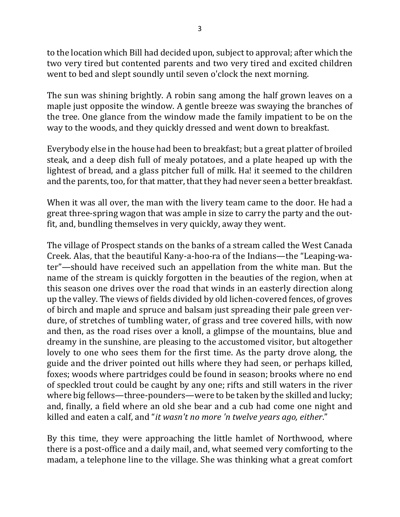to the location which Bill had decided upon, subject to approval; after which the two very tired but contented parents and two very tired and excited children went to bed and slept soundly until seven o'clock the next morning.

The sun was shining brightly. A robin sang among the half grown leaves on a maple just opposite the window. A gentle breeze was swaying the branches of the tree. One glance from the window made the family impatient to be on the way to the woods, and they quickly dressed and went down to breakfast.

Everybody else in the house had been to breakfast; but a great platter of broiled steak, and a deep dish full of mealy potatoes, and a plate heaped up with the lightest of bread, and a glass pitcher full of milk. Ha! it seemed to the children and the parents, too, for that matter, that they had never seen a better breakfast.

When it was all over, the man with the livery team came to the door. He had a great three-spring wagon that was ample in size to carry the party and the outfit, and, bundling themselves in very quickly, away they went.

The village of Prospect stands on the banks of a stream called the West Canada Creek. Alas, that the beautiful Kany-a-hoo-ra of the Indians—the "Leaping-water"—should have received such an appellation from the white man. But the name of the stream is quickly forgotten in the beauties of the region, when at this season one drives over the road that winds in an easterly direction along up the valley. The views of fields divided by old lichen-covered fences, of groves of birch and maple and spruce and balsam just spreading their pale green verdure, of stretches of tumbling water, of grass and tree covered hills, with now and then, as the road rises over a knoll, a glimpse of the mountains, blue and dreamy in the sunshine, are pleasing to the accustomed visitor, but altogether lovely to one who sees them for the first time. As the party drove along, the guide and the driver pointed out hills where they had seen, or perhaps killed, foxes; woods where partridges could be found in season; brooks where no end of speckled trout could be caught by any one; rifts and still waters in the river where big fellows—three-pounders—were to be taken by the skilled and lucky; and, finally, a field where an old she bear and a cub had come one night and killed and eaten a calf, and "*it* wasn't no more 'n twelve years ago, either."

By this time, they were approaching the little hamlet of Northwood, where there is a post-office and a daily mail, and, what seemed very comforting to the madam, a telephone line to the village. She was thinking what a great comfort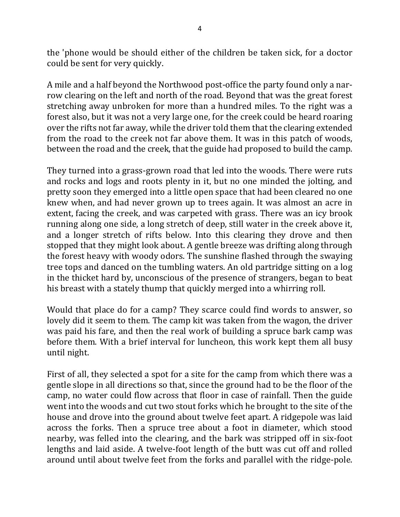the 'phone would be should either of the children be taken sick, for a doctor could be sent for very quickly.

A mile and a half beyond the Northwood post-office the party found only a narrow clearing on the left and north of the road. Beyond that was the great forest stretching away unbroken for more than a hundred miles. To the right was a forest also, but it was not a very large one, for the creek could be heard roaring over the rifts not far away, while the driver told them that the clearing extended from the road to the creek not far above them. It was in this patch of woods, between the road and the creek, that the guide had proposed to build the camp.

They turned into a grass-grown road that led into the woods. There were ruts and rocks and logs and roots plenty in it, but no one minded the jolting, and pretty soon they emerged into a little open space that had been cleared no one knew when, and had never grown up to trees again. It was almost an acre in extent, facing the creek, and was carpeted with grass. There was an icy brook running along one side, a long stretch of deep, still water in the creek above it, and a longer stretch of rifts below. Into this clearing they drove and then stopped that they might look about. A gentle breeze was drifting along through the forest heavy with woody odors. The sunshine flashed through the swaying tree tops and danced on the tumbling waters. An old partridge sitting on a log in the thicket hard by, unconscious of the presence of strangers, began to beat his breast with a stately thump that quickly merged into a whirring roll.

Would that place do for a camp? They scarce could find words to answer, so lovely did it seem to them. The camp kit was taken from the wagon, the driver was paid his fare, and then the real work of building a spruce bark camp was before them. With a brief interval for luncheon, this work kept them all busy until night.

First of all, they selected a spot for a site for the camp from which there was a gentle slope in all directions so that, since the ground had to be the floor of the camp, no water could flow across that floor in case of rainfall. Then the guide went into the woods and cut two stout forks which he brought to the site of the house and drove into the ground about twelve feet apart. A ridgepole was laid across the forks. Then a spruce tree about a foot in diameter, which stood nearby, was felled into the clearing, and the bark was stripped off in six-foot lengths and laid aside. A twelve-foot length of the butt was cut off and rolled around until about twelve feet from the forks and parallel with the ridge-pole.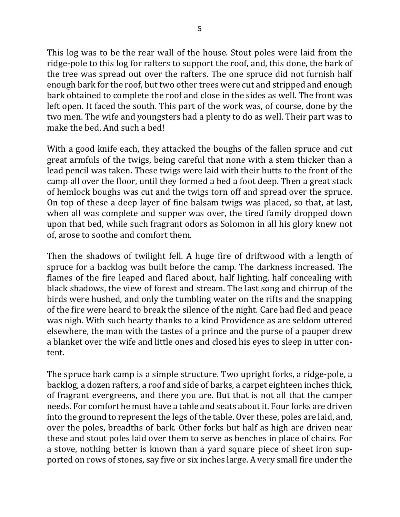This log was to be the rear wall of the house. Stout poles were laid from the ridge-pole to this log for rafters to support the roof, and, this done, the bark of the tree was spread out over the rafters. The one spruce did not furnish half enough bark for the roof, but two other trees were cut and stripped and enough bark obtained to complete the roof and close in the sides as well. The front was left open. It faced the south. This part of the work was, of course, done by the two men. The wife and youngsters had a plenty to do as well. Their part was to make the bed. And such a bed!

With a good knife each, they attacked the boughs of the fallen spruce and cut great armfuls of the twigs, being careful that none with a stem thicker than a lead pencil was taken. These twigs were laid with their butts to the front of the camp all over the floor, until they formed a bed a foot deep. Then a great stack of hemlock boughs was cut and the twigs torn off and spread over the spruce. On top of these a deep layer of fine balsam twigs was placed, so that, at last, when all was complete and supper was over, the tired family dropped down upon that bed, while such fragrant odors as Solomon in all his glory knew not of, arose to soothe and comfort them.

Then the shadows of twilight fell. A huge fire of driftwood with a length of spruce for a backlog was built before the camp. The darkness increased. The flames of the fire leaped and flared about, half lighting, half concealing with black shadows, the view of forest and stream. The last song and chirrup of the birds were hushed, and only the tumbling water on the rifts and the snapping of the fire were heard to break the silence of the night. Care had fled and peace was nigh. With such hearty thanks to a kind Providence as are seldom uttered elsewhere, the man with the tastes of a prince and the purse of a pauper drew a blanket over the wife and little ones and closed his eyes to sleep in utter content.

The spruce bark camp is a simple structure. Two upright forks, a ridge-pole, a backlog, a dozen rafters, a roof and side of barks, a carpet eighteen inches thick, of fragrant evergreens, and there you are. But that is not all that the camper needs. For comfort he must have a table and seats about it. Four forks are driven into the ground to represent the legs of the table. Over these, poles are laid, and, over the poles, breadths of bark. Other forks but half as high are driven near these and stout poles laid over them to serve as benches in place of chairs. For a stove, nothing better is known than a yard square piece of sheet iron supported on rows of stones, say five or six inches large. A very small fire under the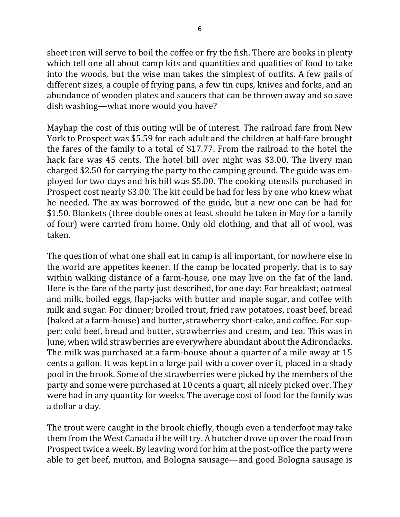sheet iron will serve to boil the coffee or fry the fish. There are books in plenty which tell one all about camp kits and quantities and qualities of food to take into the woods, but the wise man takes the simplest of outfits. A few pails of different sizes, a couple of frying pans, a few tin cups, knives and forks, and an abundance of wooden plates and saucers that can be thrown away and so save dish washing—what more would you have?

Mayhap the cost of this outing will be of interest. The railroad fare from New York to Prospect was \$5.59 for each adult and the children at half-fare brought the fares of the family to a total of \$17.77. From the railroad to the hotel the hack fare was 45 cents. The hotel bill over night was \$3.00. The livery man charged \$2.50 for carrying the party to the camping ground. The guide was employed for two days and his bill was \$5.00. The cooking utensils purchased in Prospect cost nearly \$3.00. The kit could be had for less by one who knew what he needed. The ax was borrowed of the guide, but a new one can be had for \$1.50. Blankets (three double ones at least should be taken in May for a family of four) were carried from home. Only old clothing, and that all of wool, was taken.

The question of what one shall eat in camp is all important, for nowhere else in the world are appetites keener. If the camp be located properly, that is to say within walking distance of a farm-house, one may live on the fat of the land. Here is the fare of the party just described, for one day: For breakfast; oatmeal and milk, boiled eggs, flap-jacks with butter and maple sugar, and coffee with milk and sugar. For dinner; broiled trout, fried raw potatoes, roast beef, bread (baked at a farm-house) and butter, strawberry short-cake, and coffee. For supper; cold beef, bread and butter, strawberries and cream, and tea. This was in June, when wild strawberries are everywhere abundant about the Adirondacks. The milk was purchased at a farm-house about a quarter of a mile away at 15 cents a gallon. It was kept in a large pail with a cover over it, placed in a shady pool in the brook. Some of the strawberries were picked by the members of the party and some were purchased at 10 cents a quart, all nicely picked over. They were had in any quantity for weeks. The average cost of food for the family was a dollar a day.

The trout were caught in the brook chiefly, though even a tenderfoot may take them from the West Canada if he will try. A butcher drove up over the road from Prospect twice a week. By leaving word for him at the post-office the party were able to get beef, mutton, and Bologna sausage—and good Bologna sausage is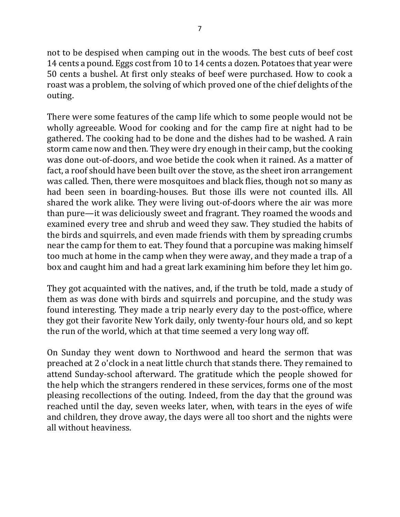not to be despised when camping out in the woods. The best cuts of beef cost 14 cents a pound. Eggs cost from 10 to 14 cents a dozen. Potatoes that year were 50 cents a bushel. At first only steaks of beef were purchased. How to cook a roast was a problem, the solving of which proved one of the chief delights of the outing.

There were some features of the camp life which to some people would not be wholly agreeable. Wood for cooking and for the camp fire at night had to be gathered. The cooking had to be done and the dishes had to be washed. A rain storm came now and then. They were dry enough in their camp, but the cooking was done out-of-doors, and woe betide the cook when it rained. As a matter of fact, a roof should have been built over the stove, as the sheet iron arrangement was called. Then, there were mosquitoes and black flies, though not so many as had been seen in boarding-houses. But those ills were not counted ills. All shared the work alike. They were living out-of-doors where the air was more than pure—it was deliciously sweet and fragrant. They roamed the woods and examined every tree and shrub and weed they saw. They studied the habits of the birds and squirrels, and even made friends with them by spreading crumbs near the camp for them to eat. They found that a porcupine was making himself too much at home in the camp when they were away, and they made a trap of a box and caught him and had a great lark examining him before they let him go.

They got acquainted with the natives, and, if the truth be told, made a study of them as was done with birds and squirrels and porcupine, and the study was found interesting. They made a trip nearly every day to the post-office, where they got their favorite New York daily, only twenty-four hours old, and so kept the run of the world, which at that time seemed a very long way off.

On Sunday they went down to Northwood and heard the sermon that was preached at 2 o'clock in a neat little church that stands there. They remained to attend Sunday-school afterward. The gratitude which the people showed for the help which the strangers rendered in these services, forms one of the most pleasing recollections of the outing. Indeed, from the day that the ground was reached until the day, seven weeks later, when, with tears in the eyes of wife and children, they drove away, the days were all too short and the nights were all without heaviness.